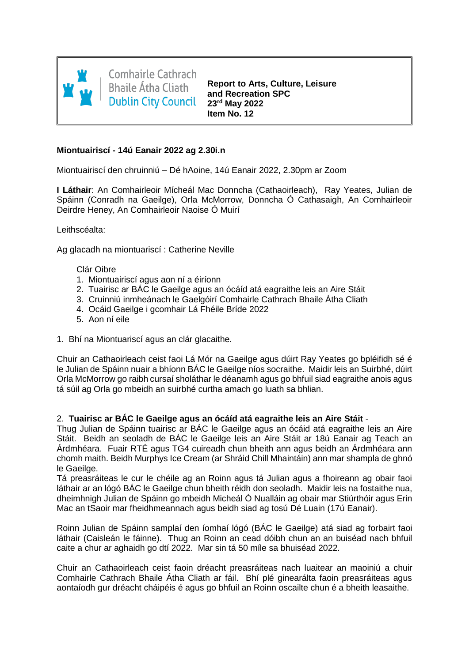

**Comhairle Cathrach Bhaile Átha Cliath Dublin City Council** 

**Report to Arts, Culture, Leisure and Recreation SPC 23rd May 2022 Item No. 12**

#### **Miontuairiscí - 14ú Eanair 2022 ag 2.30i.n**

Miontuairiscí den chruinniú – Dé hAoine, 14ú Eanair 2022, 2.30pm ar Zoom

**I Láthair**: An Comhairleoir Mícheál Mac Donncha (Cathaoirleach), Ray Yeates, Julian de Spáinn (Conradh na Gaeilge), Orla McMorrow, Donncha Ó Cathasaigh, An Comhairleoir Deirdre Heney, An Comhairleoir Naoise Ó Muirí

Leithscéalta:

Ag glacadh na miontuariscí : Catherine Neville

Clár Oibre

- 1. Miontuairiscí agus aon ní a éiríonn
- 2. Tuairisc ar BÁC le Gaeilge agus an ócáíd atá eagraithe leis an Aire Stáit
- 3. Cruinniú inmheánach le Gaelgóirí Comhairle Cathrach Bhaile Átha Cliath
- 4. Ocáid Gaeilge i gcomhair Lá Fhéile Bríde 2022
- 5. Aon ní eile
- 1. Bhí na Miontuariscí agus an clár glacaithe.

Chuir an Cathaoirleach ceist faoi Lá Mór na Gaeilge agus dúirt Ray Yeates go bpléifidh sé é le Julian de Spáinn nuair a bhíonn BÁC le Gaeilge níos socraithe. Maidir leis an Suirbhé, dúirt Orla McMorrow go raibh cursaí sholáthar le déanamh agus go bhfuil siad eagraithe anois agus tá súil ag Orla go mbeidh an suirbhé curtha amach go luath sa bhlian.

## 2. **Tuairisc ar BÁC le Gaeilge agus an ócáíd atá eagraithe leis an Aire Stáit** -

Thug Julian de Spáinn tuairisc ar BÁC le Gaeilge agus an ócáid atá eagraithe leis an Aire Stáit. Beidh an seoladh de BÁC le Gaeilge leis an Aire Stáit ar 18ú Eanair ag Teach an Árdmhéara. Fuair RTÉ agus TG4 cuireadh chun bheith ann agus beidh an Árdmhéara ann chomh maith. Beidh Murphys Ice Cream (ar Shráid Chill Mhaintáin) ann mar shampla de ghnó le Gaeilge.

Tá preasráiteas le cur le chéile ag an Roinn agus tá Julian agus a fhoireann ag obair faoi láthair ar an lógó BÁC le Gaeilge chun bheith réidh don seoladh. Maidir leis na fostaithe nua, dheimhnigh Julian de Spáinn go mbeidh Micheál Ó Nualláin ag obair mar Stiúrthóir agus Erin Mac an tSaoir mar fheidhmeannach agus beidh siad ag tosú Dé Luain (17ú Eanair).

Roinn Julian de Spáinn samplaí den íomhaí lógó (BÁC le Gaeilge) atá siad ag forbairt faoi láthair (Caisleán le fáinne). Thug an Roinn an cead dóibh chun an an buiséad nach bhfuil caite a chur ar aghaidh go dtí 2022. Mar sin tá 50 míle sa bhuiséad 2022.

Chuir an Cathaoirleach ceist faoin dréacht preasráiteas nach luaitear an maoiniú a chuir Comhairle Cathrach Bhaile Átha Cliath ar fáil. Bhí plé ginearálta faoin preasráiteas agus aontaíodh gur dréacht cháipéis é agus go bhfuil an Roinn oscailte chun é a bheith leasaithe.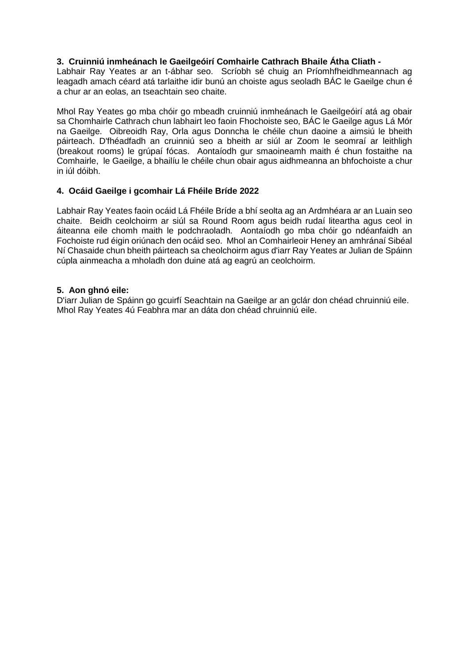# **3. Cruinniú inmheánach le Gaeilgeóirí Comhairle Cathrach Bhaile Átha Cliath -**

Labhair Ray Yeates ar an t-ábhar seo. Scríobh sé chuig an Príomhfheidhmeannach ag leagadh amach céard atá tarlaithe idir bunú an choiste agus seoladh BÁC le Gaeilge chun é a chur ar an eolas, an tseachtain seo chaite.

Mhol Ray Yeates go mba chóir go mbeadh cruinniú inmheánach le Gaeilgeóirí atá ag obair sa Chomhairle Cathrach chun labhairt leo faoin Fhochoiste seo, BÁC le Gaeilge agus Lá Mór na Gaeilge. Oibreoidh Ray, Orla agus Donncha le chéile chun daoine a aimsiú le bheith páirteach. D'fhéadfadh an cruinniú seo a bheith ar siúl ar Zoom le seomraí ar leithligh (breakout rooms) le grúpaí fócas. Aontaíodh gur smaoineamh maith é chun fostaithe na Comhairle, le Gaeilge, a bhailíu le chéile chun obair agus aidhmeanna an bhfochoiste a chur in iúl dóibh.

# **4. Ocáid Gaeilge i gcomhair Lá Fhéile Bríde 2022**

Labhair Ray Yeates faoin ocáid Lá Fhéile Bríde a bhí seolta ag an Ardmhéara ar an Luain seo chaite. Beidh ceolchoirm ar siúl sa Round Room agus beidh rudaí liteartha agus ceol in áiteanna eile chomh maith le podchraoladh. Aontaíodh go mba chóir go ndéanfaidh an Fochoiste rud éigin oriúnach den ocáid seo. Mhol an Comhairleoir Heney an amhránaí Sibéal Ní Chasaide chun bheith páirteach sa cheolchoirm agus d'iarr Ray Yeates ar Julian de Spáinn cúpla ainmeacha a mholadh don duine atá ag eagrú an ceolchoirm.

## **5. Aon ghnó eile:**

D'iarr Julian de Spáinn go gcuirfí Seachtain na Gaeilge ar an gclár don chéad chruinniú eile. Mhol Ray Yeates 4ú Feabhra mar an dáta don chéad chruinniú eile.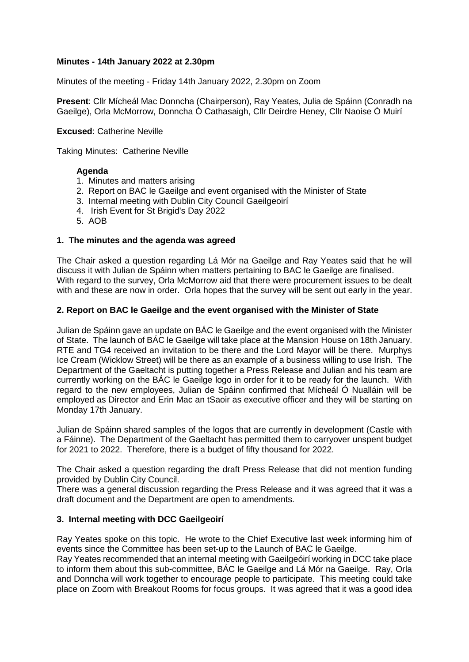# **Minutes - 14th January 2022 at 2.30pm**

Minutes of the meeting - Friday 14th January 2022, 2.30pm on Zoom

**Present**: Cllr Mícheál Mac Donncha (Chairperson), Ray Yeates, Julia de Spáinn (Conradh na Gaeilge), Orla McMorrow, Donncha Ó Cathasaigh, Cllr Deirdre Heney, Cllr Naoise Ó Muirí

**Excused**: Catherine Neville

Taking Minutes: Catherine Neville

## **Agenda**

- 1. Minutes and matters arising
- 2. Report on BAC le Gaeilge and event organised with the Minister of State
- 3. Internal meeting with Dublin City Council Gaeilgeoirí
- 4. Irish Event for St Brigid's Day 2022
- 5. AOB

#### **1. The minutes and the agenda was agreed**

The Chair asked a question regarding Lá Mór na Gaeilge and Ray Yeates said that he will discuss it with Julian de Spáinn when matters pertaining to BAC le Gaeilge are finalised. With regard to the survey, Orla McMorrow aid that there were procurement issues to be dealt with and these are now in order. Orla hopes that the survey will be sent out early in the year.

#### **2. Report on BAC le Gaeilge and the event organised with the Minister of State**

Julian de Spáinn gave an update on BÁC le Gaeilge and the event organised with the Minister of State. The launch of BÁC le Gaeilge will take place at the Mansion House on 18th January. RTE and TG4 received an invitation to be there and the Lord Mayor will be there. Murphys Ice Cream (Wicklow Street) will be there as an example of a business willing to use Irish. The Department of the Gaeltacht is putting together a Press Release and Julian and his team are currently working on the BÁC le Gaeilge logo in order for it to be ready for the launch. With regard to the new employees, Julian de Spáinn confirmed that Mícheál Ó Nualláin will be employed as Director and Erin Mac an tSaoir as executive officer and they will be starting on Monday 17th January.

Julian de Spáinn shared samples of the logos that are currently in development (Castle with a Fáinne). The Department of the Gaeltacht has permitted them to carryover unspent budget for 2021 to 2022. Therefore, there is a budget of fifty thousand for 2022.

The Chair asked a question regarding the draft Press Release that did not mention funding provided by Dublin City Council.

There was a general discussion regarding the Press Release and it was agreed that it was a draft document and the Department are open to amendments.

## **3. Internal meeting with DCC Gaeilgeoirí**

Ray Yeates spoke on this topic. He wrote to the Chief Executive last week informing him of events since the Committee has been set-up to the Launch of BAC le Gaeilge.

Ray Yeates recommended that an internal meeting with Gaeilgeóirí working in DCC take place to inform them about this sub-committee, BÁC le Gaeilge and Lá Mór na Gaeilge. Ray, Orla and Donncha will work together to encourage people to participate. This meeting could take place on Zoom with Breakout Rooms for focus groups. It was agreed that it was a good idea